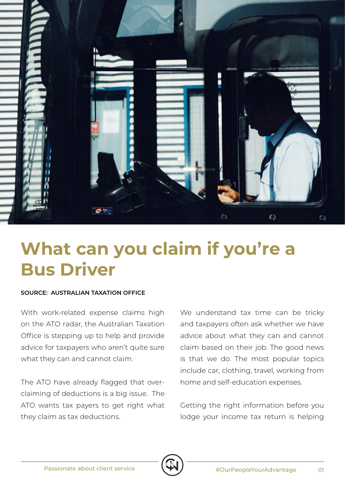

## **What can you claim if you're a Bus Driver**

## **SOURCE: AUSTRALIAN TAXATION OFFICE**

With work-related expense claims high on the ATO radar, the Australian Taxation Office is stepping up to help and provide advice for taxpayers who aren't quite sure what they can and cannot claim.

The ATO have already flagged that overclaiming of deductions is a big issue. The ATO wants tax payers to get right what they claim as tax deductions.

We understand tax time can be tricky and taxpayers often ask whether we have advice about what they can and cannot claim based on their job. The good news is that we do. The most popular topics include car, clothing, travel, working from home and self-education expenses.

Getting the right information before you lodge your income tax return is helping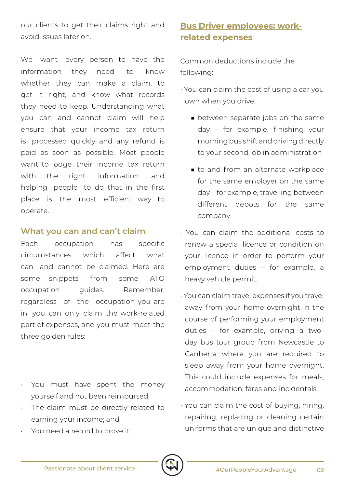our clients to get their claims right and avoid issues later on.

We want every person to have the information they need to know whether they can make a claim, to get it right, and know what records they need to keep. Understanding what you can and cannot claim will help ensure that your income tax return is processed quickly and any refund is paid as soon as possible. Most people want to lodge their income tax return with the right information and helping people to do that in the first place is the most efficient way to operate.

## **What you can and can't claim**

Each occupation has specific circumstances which affect what can and cannot be claimed. Here are some snippets from some ATO occupation guides. Remember, regardless of the occupation you are in, you can only claim the work-related part of expenses, and you must meet the three golden rules:

- You must have spent the money yourself and not been reimbursed;
- The claim must be directly related to earning your income; and
- You need a record to prove it.

## **Bus Driver employees: workrelated expenses**

Common deductions include the following:

- You can claim the cost of using a car you own when you drive:
	- between separate jobs on the same day – for example, finishing your morning bus shift and driving directly to your second job in administration
	- to and from an alternate workplace for the same employer on the same day – for example, travelling between different depots for the same company
- You can claim the additional costs to renew a special licence or condition on your licence in order to perform your employment duties – for example, a heavy vehicle permit.
- You can claim travel expenses if you travel away from your home overnight in the course of performing your employment duties – for example, driving a twoday bus tour group from Newcastle to Canberra where you are required to sleep away from your home overnight. This could include expenses for meals, accommodation, fares and incidentals.
- You can claim the cost of buying, hiring, repairing, replacing or cleaning certain uniforms that are unique and distinctive